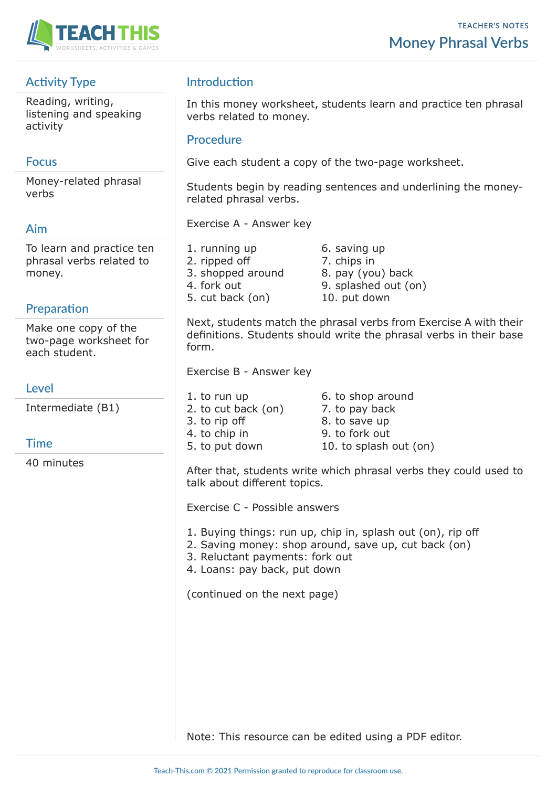

# **Activity Type**

Reading, writing, listening and speaking activity

### **Focus**

Money-related phrasal verbs

#### **Aim**

To learn and practice ten phrasal verbs related to money.

#### **Preparation**

Make one copy of the two-page worksheet for each student.

**Level**

Intermediate (B1)

#### **Time**

40 minutes

## **Introduction**

In this money worksheet, students learn and practice ten phrasal verbs related to money.

#### **Procedure**

Give each student a copy of the two-page worksheet.

Students begin by reading sentences and underlining the moneyrelated phrasal verbs.

Exercise A - Answer key

1. running up 6. saving up 2. ripped off 7. chips in 3. shopped around 8. pay (you) back 4. fork out 9. splashed out (on) 5. cut back (on) 10. put down

Next, students match the phrasal verbs from Exercise A with their definitions. Students should write the phrasal verbs in their base form.

Exercise B - Answer key

1. to run up 6. to shop around 2. to cut back (on) 7. to pay back 3. to rip off 8. to save up 4. to chip in 9. to fork out 5. to put down 10. to splash out (on)

After that, students write which phrasal verbs they could used to talk about different topics.

Exercise C - Possible answers

- 1. Buying things: run up, chip in, splash out (on), rip off
- 2. Saving money: shop around, save up, cut back (on)
- 3. Reluctant payments: fork out
- 4. Loans: pay back, put down

(continued on the next page)

Note: This resource can be edited using a PDF editor.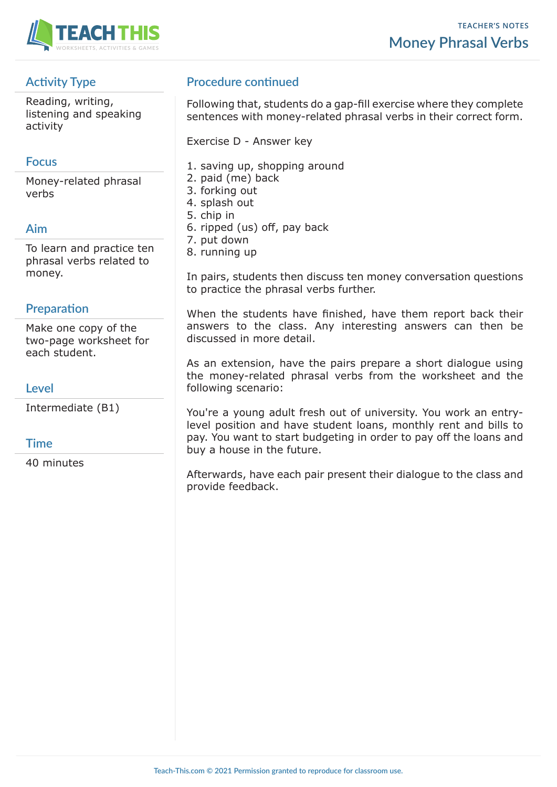

# **Activity Type**

Reading, writing, listening and speaking activity

### **Focus**

Money-related phrasal verbs

## **Aim**

To learn and practice ten phrasal verbs related to money.

## **Preparation**

Make one copy of the two-page worksheet for each student.

### **Level**

Intermediate (B1)

## **Time**

40 minutes

# **Procedure continued**

Following that, students do a gap-fill exercise where they complete sentences with money-related phrasal verbs in their correct form.

Exercise D - Answer key

- 1. saving up, shopping around
- 2. paid (me) back
- 3. forking out
- 4. splash out
- 5. chip in
- 6. ripped (us) off, pay back
- 7. put down
- 8. running up

In pairs, students then discuss ten money conversation questions to practice the phrasal verbs further.

When the students have finished, have them report back their answers to the class. Any interesting answers can then be discussed in more detail.

As an extension, have the pairs prepare a short dialogue using the money-related phrasal verbs from the worksheet and the following scenario:

You're a young adult fresh out of university. You work an entrylevel position and have student loans, monthly rent and bills to pay. You want to start budgeting in order to pay off the loans and buy a house in the future.

Afterwards, have each pair present their dialogue to the class and provide feedback.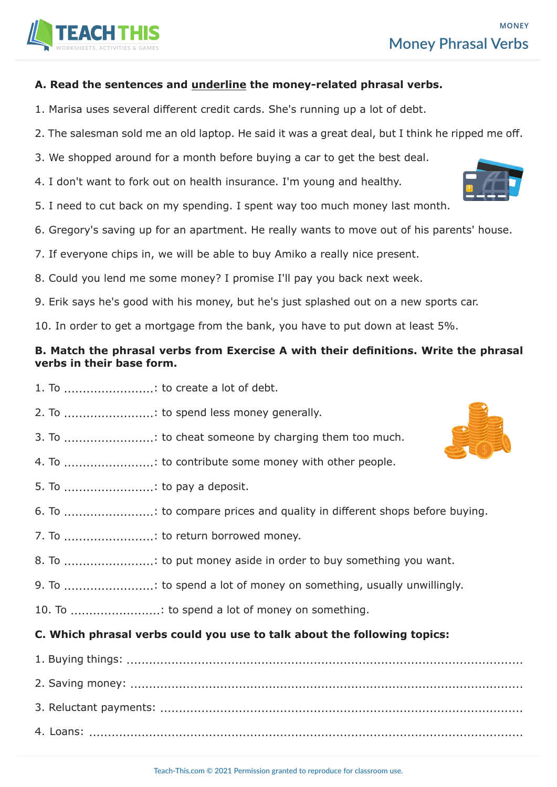#### **A. Read the sentences and underline the money-related phrasal verbs.**

- 1. Marisa uses several different credit cards. She's running up a lot of debt.
- 2. The salesman sold me an old laptop. He said it was a great deal, but I think he ripped me off.
- 3. We shopped around for a month before buying a car to get the best deal.
- 4. I don't want to fork out on health insurance. I'm young and healthy.
- 5. I need to cut back on my spending. I spent way too much money last month.
- 6. Gregory's saving up for an apartment. He really wants to move out of his parents' house.
- 7. If everyone chips in, we will be able to buy Amiko a really nice present.
- 8. Could you lend me some money? I promise I'll pay you back next week.
- 9. Erik says he's good with his money, but he's just splashed out on a new sports car.

10. In order to get a mortgage from the bank, you have to put down at least 5%.

#### **B. Match the phrasal verbs from Exercise A with their definitions. Write the phrasal verbs in their base form.**

- 1. To ........................: to create a lot of debt.
- 2. To ............................: to spend less money generally.
- 3. To ........................: to cheat someone by charging them too much.
- 4. To ........................: to contribute some money with other people.
- 5. To  $\ldots$   $\ldots$   $\ldots$   $\ldots$   $\ldots$   $\ldots$  to pay a deposit.
- 6. To ........................: to compare prices and quality in different shops before buying.
- 7. To ........................: to return borrowed money.
- 8. To ........................: to put money aside in order to buy something you want.
- 9. To .........................: to spend a lot of money on something, usually unwillingly.
- 10. To  $\ldots$   $\ldots$   $\ldots$   $\ldots$   $\ldots$  to spend a lot of money on something.

#### **C. Which phrasal verbs could you use to talk about the following topics:**

1. Buying things: .......................................................................................................... 2. Saving money: ......................................................................................................... 3. Reluctant payments: ................................................................................................. 4. Loans: ....................................................................................................................